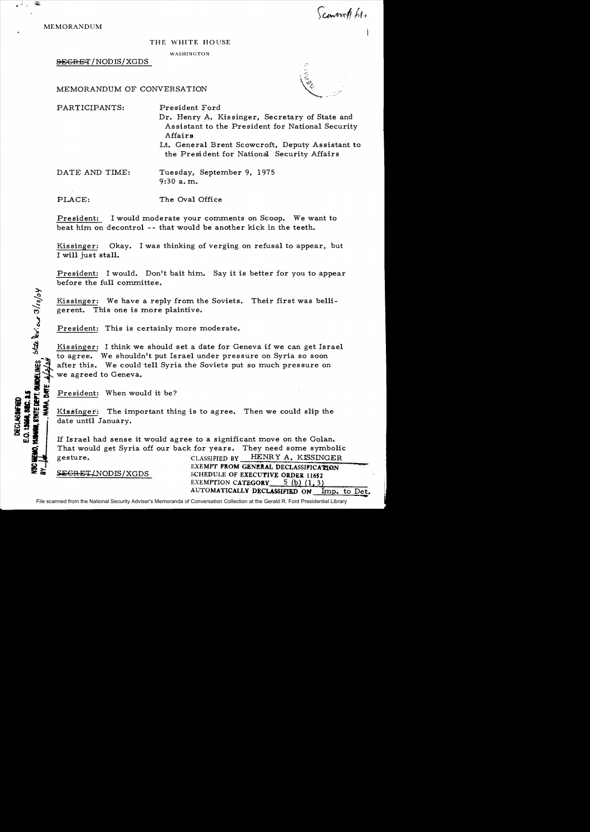MEMORANDUM

Scaverett file

## THE WHITE HOUSE

WASHINGTON

SEGREq'/NODIS/XGDS

MEMORANDUM OF CONVERSATION

PARTICIPANTS: President Ford

- 
- Dr. Henry A. Kissinger, Secretary of State and Assistant to the President for National Security Affairs
- Lt. General Brent Scowcroft, Deputy Assistant to the President for National Security Affairs

DATE AND TIME: Tuesday, September 9, 1975 9:30 a. ni.

PLACE: The Oval Office

President: I would moderate your comments on Scoop. We want to

beat him on decontrol -- that would be another kick in the teeth.

Kissinger: Okay. I was thinking of verging on refusal to appear, but I will just stall.

President: I would. Don't bait him. Say it is better for you to appear before the full committee.

Kissinger: We have a reply from the Soviets. Their first was belligerent. This one is more plaintive.

President: This is certainly more moderate.

Kissinger: I think we should set a date for Geneva if we can get Israel to agree. We shouldn't put Israel under pressure on Syria so soon after this. We could tell Syria the Soviets put so much pressure on we agreed to Geneva.

**i** <u>President:</u> When would it be?

STATE DEPT. CHOCELINES SEE DU:  $\alpha$  3/10/04

DECLASSIFIED

**□ 있 좋** │

CHEHO.

Kissinger: The important thing is to agree. Then we could slip the date until January.

If Israel had sense it would agree to a significant move on the Golan. That would get Syria off our back for years. They need some symbolic gesture. CLASSIFIED BY HENRY A. KISSINGER

**EXEMPT FROM GENERAL DECLASSIFICATION**<br>**SECRET/NODIS/XGDS** SCHEDULE OF EXECUTIVE ORDER 11652 SCHEDULE OF EXECUTIVE ORDER 11652 EXEMPTION CATEGORY  $5$  (b) (1, 3) AUTOMATICALLY DECLASSIFIED ON Imp. to Det.<br>Conversation Collection at the Gerald R. Ford Presidential Library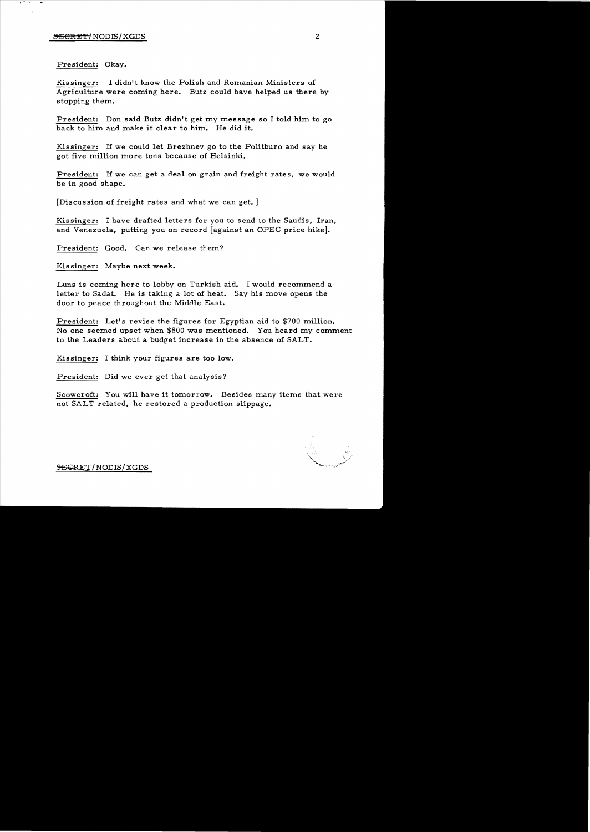President: Okay.

Kissinger: I didn't know the Polish and Romanian Ministers of Agriculture were coming here. Butz could have helped us there by stopping them.

President: Don said Butz didn't get my message so I told him to go back to him and make it clear to him. He did it.

Kissinger: If we could let Brezhnev go to the Politburo and say he got five million more tons because of Helsinki.

President: If we can get a deal on grain and freight rates, we would be in good shape.

[Discussion of freight rates and what we can get. ]

Kissinger: I have drafted letters for you to send to the Saudis, Iran, and Venezuela, putting you on record [against an OPEC price hike].

President: Good. Can we release them?

Kissinger: Maybe next week.

Luns is coming here to lobby on Turkish aid. I would recommend a letter to Sadat. He is taking a lot of heat. Say his move opens the door to peace throughout the Middle East.

President: Let's revise the figures for Egyptian aid to \$700 million. No one seemed upset when \$800 was mentioned. You heard my comment to the Leaders about a budget increase in the absence of SALT.

Kissinger: I think your figures are too low.

President: Did we ever get that analysis?

Scowcroft: You will have it tomorrow. Besides many items that were not SALT related, he restored a production slippage.

 $S\rightarrow$ ERET/NODIS/XGDS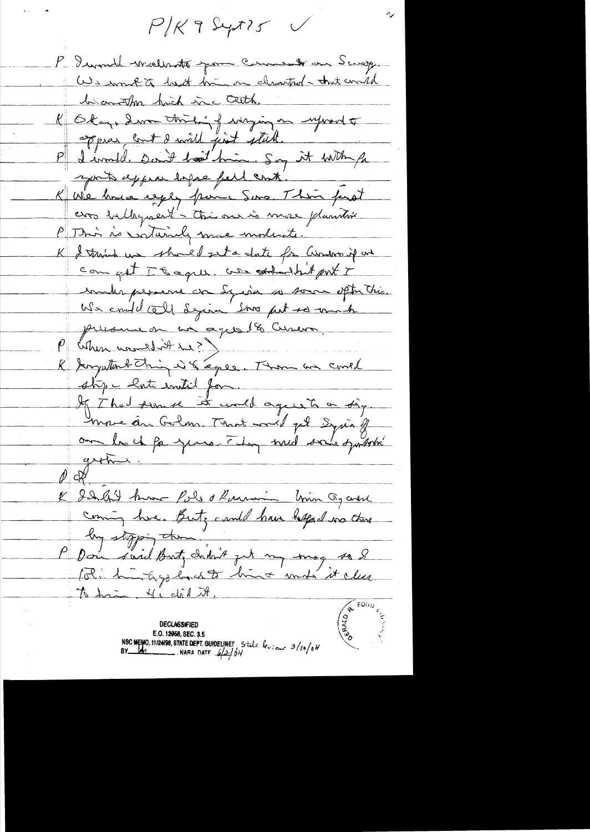$P/K$  9 Sept ?  $S$ 

P. Iwonde wraterotte pour Comment on Scrop. We wonk to hard him on cleanted - that would biomontha high inc cette. R Okay, demandtricking entrying on information appear cont I will just still. P I emmelle Dernet board him. Soy it with for sports exper espace pell cont. K Wie house egger pour Sons. This part cros ballaguert - this our is more plantic P This is cratainly more moderate. K & trains us should get a date for arriver if an com get It ague, use strandhit port I make personne con Syria so somme optimities.<br>We could call syria som put so mach presence en un aquelle Cureva P cohen uneligt 41?) & Jargentond Thing is & agree. Thou are could stipe hate entit for. If That seemse it will agree to a sig mon des Golm. Mot mel pl Syria y groting. & datent hum fols & Ramon Union Og and they stopping them. P Don said But chilait jut my mag so 2 The hair Hidal It.

**DECLASSIFIED** E.O. 12058, SEC. 3.5 NSC MEMO, 11/24/98, STATE DEPT. GUIDELINES State levieur 3/10/04